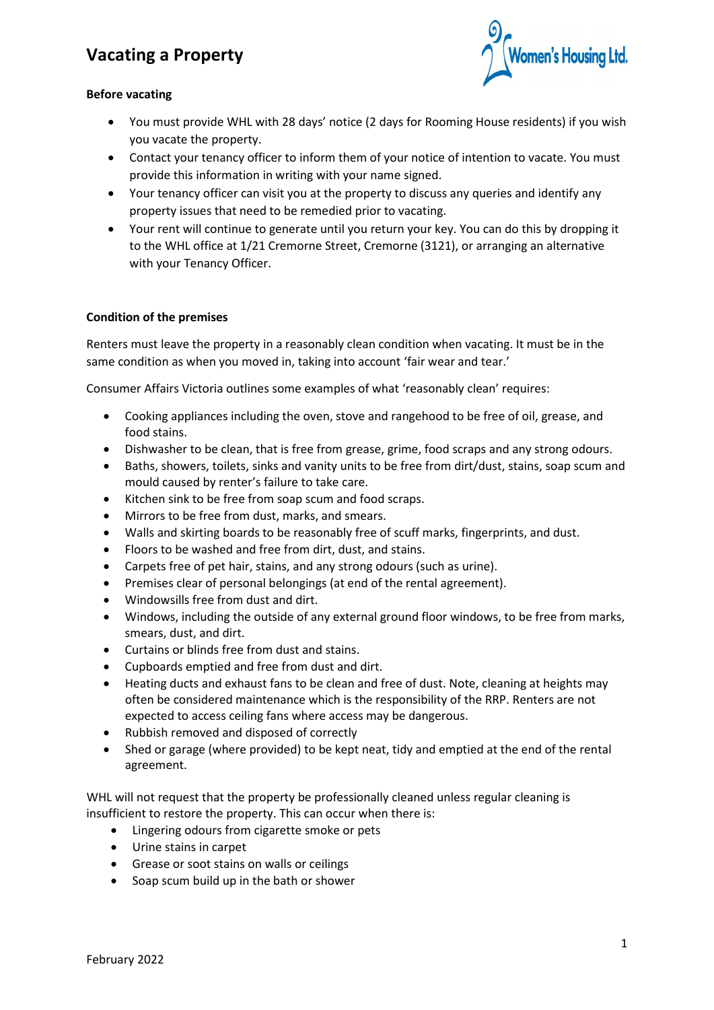# **Vacating a Property**



#### **Before vacating**

- You must provide WHL with 28 days' notice (2 days for Rooming House residents) if you wish you vacate the property.
- Contact your tenancy officer to inform them of your notice of intention to vacate. You must provide this information in writing with your name signed.
- Your tenancy officer can visit you at the property to discuss any queries and identify any property issues that need to be remedied prior to vacating.
- Your rent will continue to generate until you return your key. You can do this by dropping it to the WHL office at 1/21 Cremorne Street, Cremorne (3121), or arranging an alternative with your Tenancy Officer.

#### **Condition of the premises**

Renters must leave the property in a reasonably clean condition when vacating. It must be in the same condition as when you moved in, taking into account 'fair wear and tear.'

Consumer Affairs Victoria outlines some examples of what 'reasonably clean' requires:

- Cooking appliances including the oven, stove and rangehood to be free of oil, grease, and food stains.
- Dishwasher to be clean, that is free from grease, grime, food scraps and any strong odours.
- Baths, showers, toilets, sinks and vanity units to be free from dirt/dust, stains, soap scum and mould caused by renter's failure to take care.
- Kitchen sink to be free from soap scum and food scraps.
- Mirrors to be free from dust, marks, and smears.
- Walls and skirting boards to be reasonably free of scuff marks, fingerprints, and dust.
- Floors to be washed and free from dirt, dust, and stains.
- Carpets free of pet hair, stains, and any strong odours (such as urine).
- Premises clear of personal belongings (at end of the rental agreement).
- Windowsills free from dust and dirt.
- Windows, including the outside of any external ground floor windows, to be free from marks, smears, dust, and dirt.
- Curtains or blinds free from dust and stains.
- Cupboards emptied and free from dust and dirt.
- Heating ducts and exhaust fans to be clean and free of dust. Note, cleaning at heights may often be considered maintenance which is the responsibility of the RRP. Renters are not expected to access ceiling fans where access may be dangerous.
- Rubbish removed and disposed of correctly
- Shed or garage (where provided) to be kept neat, tidy and emptied at the end of the rental agreement.

WHL will not request that the property be professionally cleaned unless regular cleaning is insufficient to restore the property. This can occur when there is:

- Lingering odours from cigarette smoke or pets
- Urine stains in carpet
- Grease or soot stains on walls or ceilings
- Soap scum build up in the bath or shower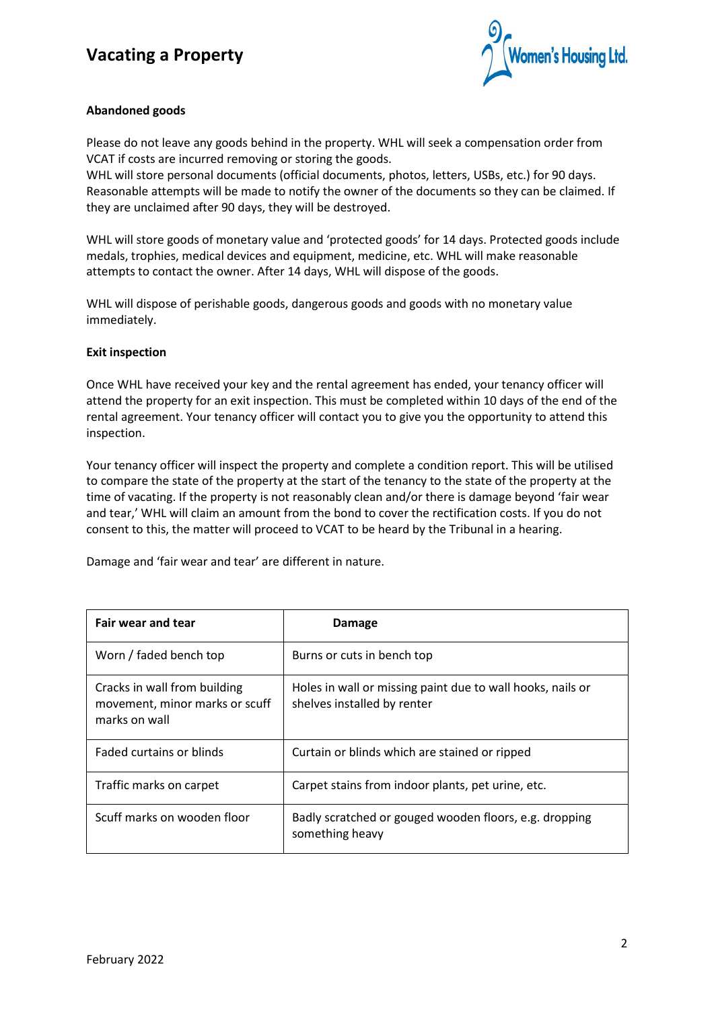## **Vacating a Property**



#### **Abandoned goods**

Please do not leave any goods behind in the property. WHL will seek a compensation order from VCAT if costs are incurred removing or storing the goods.

WHL will store personal documents (official documents, photos, letters, USBs, etc.) for 90 days. Reasonable attempts will be made to notify the owner of the documents so they can be claimed. If they are unclaimed after 90 days, they will be destroyed.

WHL will store goods of monetary value and 'protected goods' for 14 days. Protected goods include medals, trophies, medical devices and equipment, medicine, etc. WHL will make reasonable attempts to contact the owner. After 14 days, WHL will dispose of the goods.

WHL will dispose of perishable goods, dangerous goods and goods with no monetary value immediately.

#### **Exit inspection**

Once WHL have received your key and the rental agreement has ended, your tenancy officer will attend the property for an exit inspection. This must be completed within 10 days of the end of the rental agreement. Your tenancy officer will contact you to give you the opportunity to attend this inspection.

Your tenancy officer will inspect the property and complete a condition report. This will be utilised to compare the state of the property at the start of the tenancy to the state of the property at the time of vacating. If the property is not reasonably clean and/or there is damage beyond 'fair wear and tear,' WHL will claim an amount from the bond to cover the rectification costs. If you do not consent to this, the matter will proceed to VCAT to be heard by the Tribunal in a hearing.

Damage and 'fair wear and tear' are different in nature.

| Fair wear and tear                                                                                       | Damage                                                                                    |  |
|----------------------------------------------------------------------------------------------------------|-------------------------------------------------------------------------------------------|--|
| Worn / faded bench top                                                                                   | Burns or cuts in bench top                                                                |  |
| Cracks in wall from building<br>movement, minor marks or scuff<br>marks on wall                          | Holes in wall or missing paint due to wall hooks, nails or<br>shelves installed by renter |  |
| <b>Faded curtains or blinds</b>                                                                          | Curtain or blinds which are stained or ripped                                             |  |
| Traffic marks on carpet                                                                                  | Carpet stains from indoor plants, pet urine, etc.                                         |  |
| Scuff marks on wooden floor<br>Badly scratched or gouged wooden floors, e.g. dropping<br>something heavy |                                                                                           |  |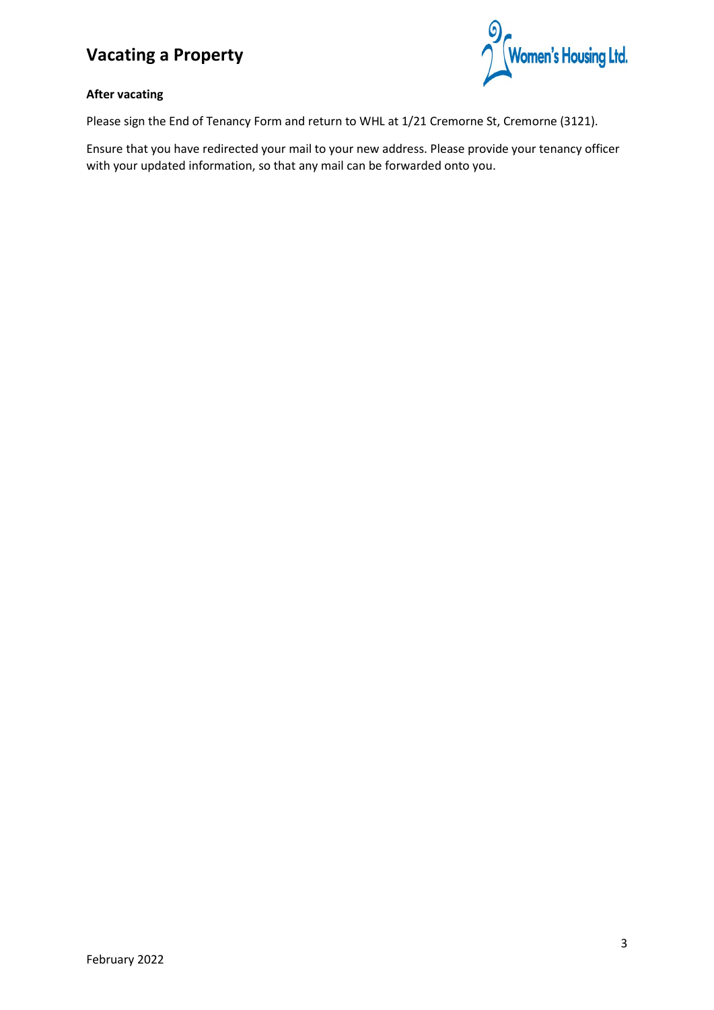# **Vacating a Property**



#### **After vacating**

Please sign the End of Tenancy Form and return to WHL at 1/21 Cremorne St, Cremorne (3121).

Ensure that you have redirected your mail to your new address. Please provide your tenancy officer with your updated information, so that any mail can be forwarded onto you.